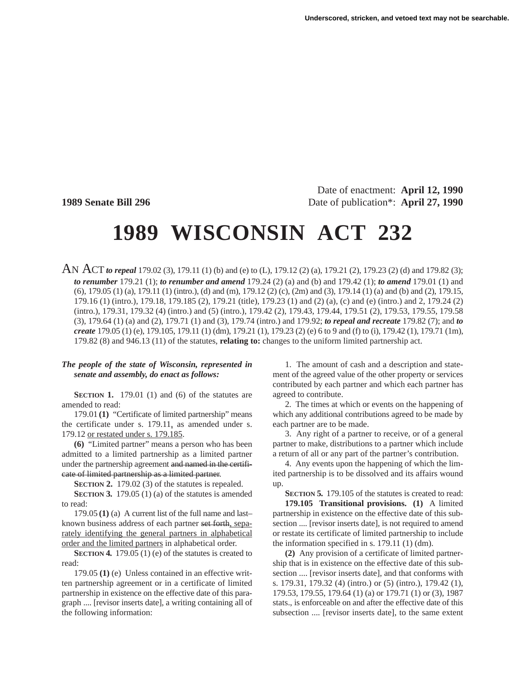Date of enactment: **April 12, 1990 1989 Senate Bill 296** Date of publication\*: **April 27, 1990** 

# **1989 WISCONSIN ACT 232**

AN ACT *to repeal* 179.02 (3), 179.11 (1) (b) and (e) to (L), 179.12 (2) (a), 179.21 (2), 179.23 (2) (d) and 179.82 (3); *to renumber* 179.21 (1); *to renumber and amend* 179.24 (2) (a) and (b) and 179.42 (1); *to amend* 179.01 (1) and (6), 179.05 (1) (a), 179.11 (1) (intro.), (d) and (m), 179.12 (2) (c), (2m) and (3), 179.14 (1) (a) and (b) and (2), 179.15, 179.16 (1) (intro.), 179.18, 179.185 (2), 179.21 (title), 179.23 (1) and (2) (a), (c) and (e) (intro.) and 2, 179.24 (2) (intro.), 179.31, 179.32 (4) (intro.) and (5) (intro.), 179.42 (2), 179.43, 179.44, 179.51 (2), 179.53, 179.55, 179.58 (3), 179.64 (1) (a) and (2), 179.71 (1) and (3), 179.74 (intro.) and 179.92; *to repeal and recreate* 179.82 (7); and *to create* 179.05 (1) (e), 179.105, 179.11 (1) (dm), 179.21 (1), 179.23 (2) (e) 6 to 9 and (f) to (i), 179.42 (1), 179.71 (1m), 179.82 (8) and 946.13 (11) of the statutes, **relating to:** changes to the uniform limited partnership act.

### *The people of the state of Wisconsin, represented in senate and assembly, do enact as follows:*

**SECTION 1.** 179.01 (1) and (6) of the statutes are amended to read:

179.01 **(1)** "Certificate of limited partnership" means the certificate under s. 179.11, as amended under s. 179.12 or restated under s. 179.185.

**(6)** "Limited partner" means a person who has been admitted to a limited partnership as a limited partner under the partnership agreement and named in the certificate of limited partnership as a limited partner.

**SECTION 2.** 179.02 (3) of the statutes is repealed.

**SECTION 3.** 179.05 (1) (a) of the statutes is amended to read:

179.05 **(1)** (a) A current list of the full name and last– known business address of each partner set forth, separately identifying the general partners in alphabetical order and the limited partners in alphabetical order.

**SECTION 4.** 179.05 (1) (e) of the statutes is created to read:

179.05 **(1)** (e) Unless contained in an effective written partnership agreement or in a certificate of limited partnership in existence on the effective date of this paragraph .... [revisor inserts date], a writing containing all of the following information:

1. The amount of cash and a description and statement of the agreed value of the other property or services contributed by each partner and which each partner has agreed to contribute.

2. The times at which or events on the happening of which any additional contributions agreed to be made by each partner are to be made.

3. Any right of a partner to receive, or of a general partner to make, distributions to a partner which include a return of all or any part of the partner's contribution.

4. Any events upon the happening of which the limited partnership is to be dissolved and its affairs wound up.

**SECTION 5.** 179.105 of the statutes is created to read:

**179.105 Transitional provisions. (1)** A limited partnership in existence on the effective date of this subsection .... [revisor inserts date], is not required to amend or restate its certificate of limited partnership to include the information specified in s. 179.11 (1) (dm).

**(2)** Any provision of a certificate of limited partnership that is in existence on the effective date of this subsection .... [revisor inserts date], and that conforms with s. 179.31, 179.32 (4) (intro.) or (5) (intro.), 179.42 (1), 179.53, 179.55, 179.64 (1) (a) or 179.71 (1) or (3), 1987 stats., is enforceable on and after the effective date of this subsection .... [revisor inserts date], to the same extent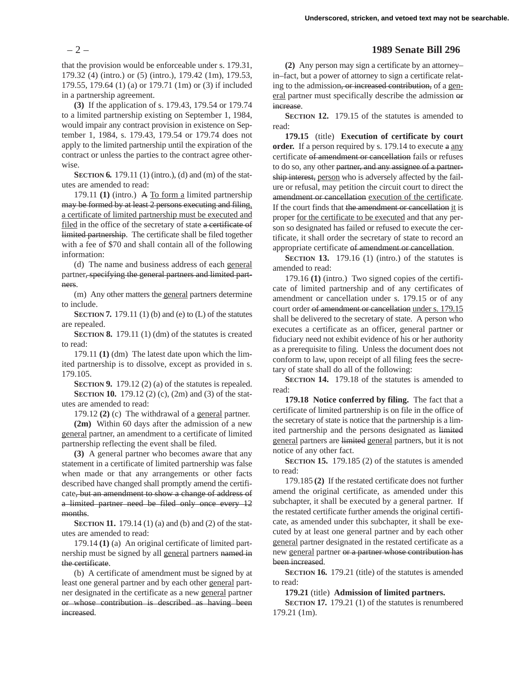that the provision would be enforceable under s. 179.31, 179.32 (4) (intro.) or (5) (intro.), 179.42 (1m), 179.53, 179.55, 179.64 (1) (a) or 179.71 (1m) or (3) if included in a partnership agreement.

**(3)** If the application of s. 179.43, 179.54 or 179.74 to a limited partnership existing on September 1, 1984, would impair any contract provision in existence on September 1, 1984, s. 179.43, 179.54 or 179.74 does not apply to the limited partnership until the expiration of the contract or unless the parties to the contract agree otherwise.

**SECTION 6.** 179.11 (1) (intro.), (d) and (m) of the statutes are amended to read:

179.11 **(1)** (intro.) A To form a limited partnership may be formed by at least 2 persons executing and filing, a certificate of limited partnership must be executed and filed in the office of the secretary of state a certificate of limited partnership. The certificate shall be filed together with a fee of \$70 and shall contain all of the following information:

(d) The name and business address of each general partner, specifying the general partners and limited partners.

(m) Any other matters the general partners determine to include.

**SECTION 7.** 179.11 (1) (b) and (e) to (L) of the statutes are repealed.

**SECTION 8.** 179.11 (1) (dm) of the statutes is created to read:

179.11 **(1)** (dm) The latest date upon which the limited partnership is to dissolve, except as provided in s. 179.105.

**SECTION 9.** 179.12 (2) (a) of the statutes is repealed. **SECTION 10.** 179.12 (2) (c), (2m) and (3) of the statutes are amended to read:

179.12 **(2)** (c) The withdrawal of a general partner.

**(2m)** Within 60 days after the admission of a new general partner, an amendment to a certificate of limited partnership reflecting the event shall be filed.

**(3)** A general partner who becomes aware that any statement in a certificate of limited partnership was false when made or that any arrangements or other facts described have changed shall promptly amend the certificate, but an amendment to show a change of address of a limited partner need be filed only once every 12 months.

**SECTION 11.** 179.14 (1) (a) and (b) and (2) of the statutes are amended to read:

179.14 **(1)** (a) An original certificate of limited partnership must be signed by all general partners named in the certificate.

(b) A certificate of amendment must be signed by at least one general partner and by each other general partner designated in the certificate as a new general partner or whose contribution is described as having been increased.

## – 2 – **1989 Senate Bill 296**

**(2)** Any person may sign a certificate by an attorney– in–fact, but a power of attorney to sign a certificate relating to the admission, or increased contribution, of a general partner must specifically describe the admission or increase.

**SECTION 12.** 179.15 of the statutes is amended to read:

**179.15** (title) **Execution of certificate by court** order. If a person required by s. 179.14 to execute a any certificate of amendment or cancellation fails or refuses to do so, any other partner, and any assignee of a partnership interest, person who is adversely affected by the failure or refusal, may petition the circuit court to direct the amendment or cancellation execution of the certificate. If the court finds that the amendment or cancellation it is proper for the certificate to be executed and that any person so designated has failed or refused to execute the certificate, it shall order the secretary of state to record an appropriate certificate of amendment or cancellation.

**SECTION 13.** 179.16 (1) (intro.) of the statutes is amended to read:

179.16 **(1)** (intro.) Two signed copies of the certificate of limited partnership and of any certificates of amendment or cancellation under s. 179.15 or of any court order of amendment or cancellation under s. 179.15 shall be delivered to the secretary of state. A person who executes a certificate as an officer, general partner or fiduciary need not exhibit evidence of his or her authority as a prerequisite to filing. Unless the document does not conform to law, upon receipt of all filing fees the secretary of state shall do all of the following:

**SECTION 14.** 179.18 of the statutes is amended to read:

**179.18 Notice conferred by filing.** The fact that a certificate of limited partnership is on file in the office of the secretary of state is notice that the partnership is a limited partnership and the persons designated as limited general partners are limited general partners, but it is not notice of any other fact.

**SECTION 15.** 179.185 (2) of the statutes is amended to read:

179.185 **(2)** If the restated certificate does not further amend the original certificate, as amended under this subchapter, it shall be executed by a general partner. If the restated certificate further amends the original certificate, as amended under this subchapter, it shall be executed by at least one general partner and by each other general partner designated in the restated certificate as a new general partner or a partner whose contribution has been increased.

**SECTION 16.** 179.21 (title) of the statutes is amended to read:

**179.21** (title) **Admission of limited partners.**

**SECTION 17.** 179.21 (1) of the statutes is renumbered 179.21 (1m).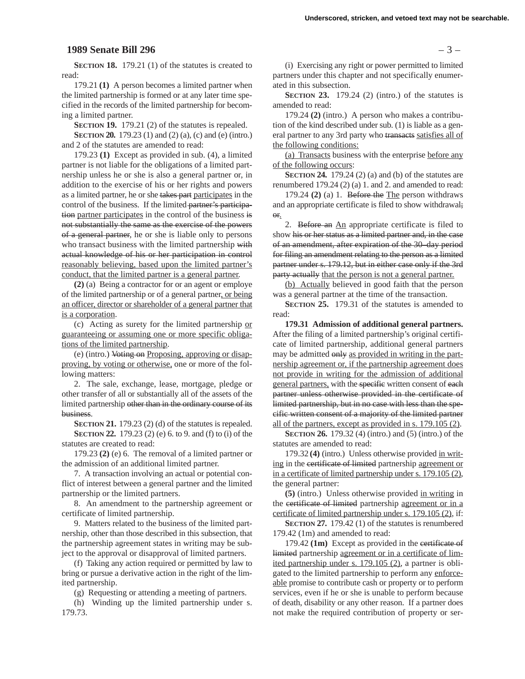#### **1989 Senate Bill 296** – 3 –

**SECTION 18.** 179.21 (1) of the statutes is created to read:

179.21 **(1)** A person becomes a limited partner when the limited partnership is formed or at any later time specified in the records of the limited partnership for becoming a limited partner.

**SECTION 19.** 179.21 (2) of the statutes is repealed.

**SECTION 20.** 179.23 (1) and (2) (a), (c) and (e) (intro.) and 2 of the statutes are amended to read:

179.23 **(1)** Except as provided in sub. (4), a limited partner is not liable for the obligations of a limited partnership unless he or she is also a general partner or, in addition to the exercise of his or her rights and powers as a limited partner, he or she takes part participates in the control of the business. If the limited partner's participation partner participates in the control of the business is not substantially the same as the exercise of the powers of a general partner, he or she is liable only to persons who transact business with the limited partnership with actual knowledge of his or her participation in control reasonably believing, based upon the limited partner's conduct, that the limited partner is a general partner.

**(2)** (a) Being a contractor for or an agent or employe of the limited partnership or of a general partner, or being an officer, director or shareholder of a general partner that is a corporation.

(c) Acting as surety for the limited partnership or guaranteeing or assuming one or more specific obligations of the limited partnership.

(e) (intro.) Voting on Proposing, approving or disapproving, by voting or otherwise, one or more of the following matters:

2. The sale, exchange, lease, mortgage, pledge or other transfer of all or substantially all of the assets of the limited partnership other than in the ordinary course of its business.

**SECTION 21.** 179.23 (2) (d) of the statutes is repealed. **SECTION 22.** 179.23 (2) (e) 6. to 9. and (f) to (i) of the statutes are created to read:

179.23 **(2)** (e) 6. The removal of a limited partner or the admission of an additional limited partner.

7. A transaction involving an actual or potential conflict of interest between a general partner and the limited partnership or the limited partners.

8. An amendment to the partnership agreement or certificate of limited partnership.

9. Matters related to the business of the limited partnership, other than those described in this subsection, that the partnership agreement states in writing may be subject to the approval or disapproval of limited partners.

(f) Taking any action required or permitted by law to bring or pursue a derivative action in the right of the limited partnership.

(g) Requesting or attending a meeting of partners.

(h) Winding up the limited partnership under s. 179.73.

(i) Exercising any right or power permitted to limited partners under this chapter and not specifically enumerated in this subsection.

**SECTION 23.** 179.24 (2) (intro.) of the statutes is amended to read:

179.24 **(2)** (intro.) A person who makes a contribution of the kind described under sub. (1) is liable as a general partner to any 3rd party who transacts satisfies all of the following conditions:

(a) Transacts business with the enterprise before any of the following occurs:

**SECTION 24.** 179.24 (2) (a) and (b) of the statutes are renumbered 179.24 (2) (a) 1. and 2. and amended to read:

179.24 **(2)** (a) 1. Before the The person withdraws and an appropriate certificate is filed to show withdrawal; or.

2. Before an An appropriate certificate is filed to show his or her status as a limited partner and, in the case of an amendment, after expiration of the 30–day period for filing an amendment relating to the person as a limited partner under s. 179.12, but in either case only if the 3rd party actually that the person is not a general partner.

(b) Actually believed in good faith that the person was a general partner at the time of the transaction.

**SECTION 25.** 179.31 of the statutes is amended to read:

**179.31 Admission of additional general partners.** After the filing of a limited partnership's original certificate of limited partnership, additional general partners may be admitted only as provided in writing in the partnership agreement or, if the partnership agreement does not provide in writing for the admission of additional general partners, with the specific written consent of each partner unless otherwise provided in the certificate of limited partnership, but in no case with less than the specific written consent of a majority of the limited partner all of the partners, except as provided in s. 179.105 (2).

**SECTION 26.** 179.32 (4) (intro.) and (5) (intro.) of the statutes are amended to read:

179.32 **(4)** (intro.) Unless otherwise provided in writing in the certificate of limited partnership agreement or in a certificate of limited partnership under s. 179.105 (2), the general partner:

**(5)** (intro.) Unless otherwise provided in writing in the certificate of limited partnership agreement or in a certificate of limited partnership under s. 179.105 (2), if:

**SECTION 27.** 179.42 (1) of the statutes is renumbered 179.42 (1m) and amended to read:

179.42 **(1m)** Except as provided in the certificate of limited partnership agreement or in a certificate of limited partnership under s. 179.105 (2), a partner is obligated to the limited partnership to perform any enforceable promise to contribute cash or property or to perform services, even if he or she is unable to perform because of death, disability or any other reason. If a partner does not make the required contribution of property or ser-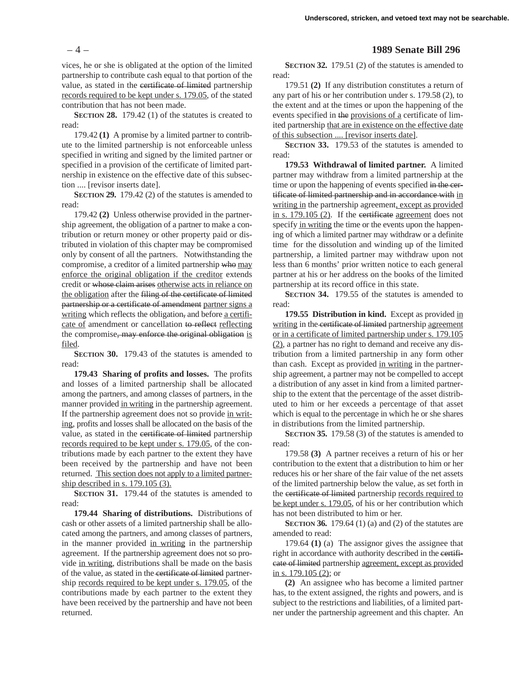vices, he or she is obligated at the option of the limited partnership to contribute cash equal to that portion of the value, as stated in the certificate of limited partnership records required to be kept under s. 179.05, of the stated contribution that has not been made.

**SECTION 28.** 179.42 (1) of the statutes is created to read:

179.42 **(1)** A promise by a limited partner to contribute to the limited partnership is not enforceable unless specified in writing and signed by the limited partner or specified in a provision of the certificate of limited partnership in existence on the effective date of this subsection .... [revisor inserts date].

**SECTION 29.** 179.42 (2) of the statutes is amended to read:

179.42 **(2)** Unless otherwise provided in the partnership agreement, the obligation of a partner to make a contribution or return money or other property paid or distributed in violation of this chapter may be compromised only by consent of all the partners. Notwithstanding the compromise, a creditor of a limited partnership who may enforce the original obligation if the creditor extends credit or whose claim arises otherwise acts in reliance on the obligation after the filing of the certificate of limited partnership or a certificate of amendment partner signs a writing which reflects the obligation, and before a certificate of amendment or cancellation to reflect reflecting the compromise, may enforce the original obligation is filed.

**SECTION 30.** 179.43 of the statutes is amended to read:

**179.43 Sharing of profits and losses.** The profits and losses of a limited partnership shall be allocated among the partners, and among classes of partners, in the manner provided in writing in the partnership agreement. If the partnership agreement does not so provide in writing, profits and losses shall be allocated on the basis of the value, as stated in the certificate of limited partnership records required to be kept under s. 179.05, of the contributions made by each partner to the extent they have been received by the partnership and have not been returned. This section does not apply to a limited partnership described in s. 179.105 (3).

**SECTION 31.** 179.44 of the statutes is amended to read:

**179.44 Sharing of distributions.** Distributions of cash or other assets of a limited partnership shall be allocated among the partners, and among classes of partners, in the manner provided in writing in the partnership agreement. If the partnership agreement does not so provide in writing, distributions shall be made on the basis of the value, as stated in the certificate of limited partnership records required to be kept under s. 179.05, of the contributions made by each partner to the extent they have been received by the partnership and have not been returned.

## – 4 – **1989 Senate Bill 296**

**SECTION 32.** 179.51 (2) of the statutes is amended to read:

179.51 **(2)** If any distribution constitutes a return of any part of his or her contribution under s. 179.58 (2), to the extent and at the times or upon the happening of the events specified in the provisions of a certificate of limited partnership that are in existence on the effective date of this subsection .... [revisor inserts date].

**SECTION 33.** 179.53 of the statutes is amended to read:

**179.53 Withdrawal of limited partner.** A limited partner may withdraw from a limited partnership at the time or upon the happening of events specified in the certificate of limited partnership and in accordance with in writing in the partnership agreement, except as provided in s. 179.105 (2). If the certificate agreement does not specify in writing the time or the events upon the happening of which a limited partner may withdraw or a definite time for the dissolution and winding up of the limited partnership, a limited partner may withdraw upon not less than 6 months' prior written notice to each general partner at his or her address on the books of the limited partnership at its record office in this state.

**SECTION 34.** 179.55 of the statutes is amended to read:

**179.55 Distribution in kind.** Except as provided in writing in the certificate of limited partnership agreement or in a certificate of limited partnership under s. 179.105 (2), a partner has no right to demand and receive any distribution from a limited partnership in any form other than cash. Except as provided in writing in the partnership agreement, a partner may not be compelled to accept a distribution of any asset in kind from a limited partnership to the extent that the percentage of the asset distributed to him or her exceeds a percentage of that asset which is equal to the percentage in which he or she shares in distributions from the limited partnership.

**SECTION 35.** 179.58 (3) of the statutes is amended to read:

179.58 **(3)** A partner receives a return of his or her contribution to the extent that a distribution to him or her reduces his or her share of the fair value of the net assets of the limited partnership below the value, as set forth in the certificate of limited partnership records required to be kept under s. 179.05, of his or her contribution which has not been distributed to him or her.

**SECTION 36.** 179.64 (1) (a) and (2) of the statutes are amended to read:

179.64 **(1)** (a) The assignor gives the assignee that right in accordance with authority described in the certificate of limited partnership agreement, except as provided in s. 179.105 (2); or

**(2)** An assignee who has become a limited partner has, to the extent assigned, the rights and powers, and is subject to the restrictions and liabilities, of a limited partner under the partnership agreement and this chapter. An